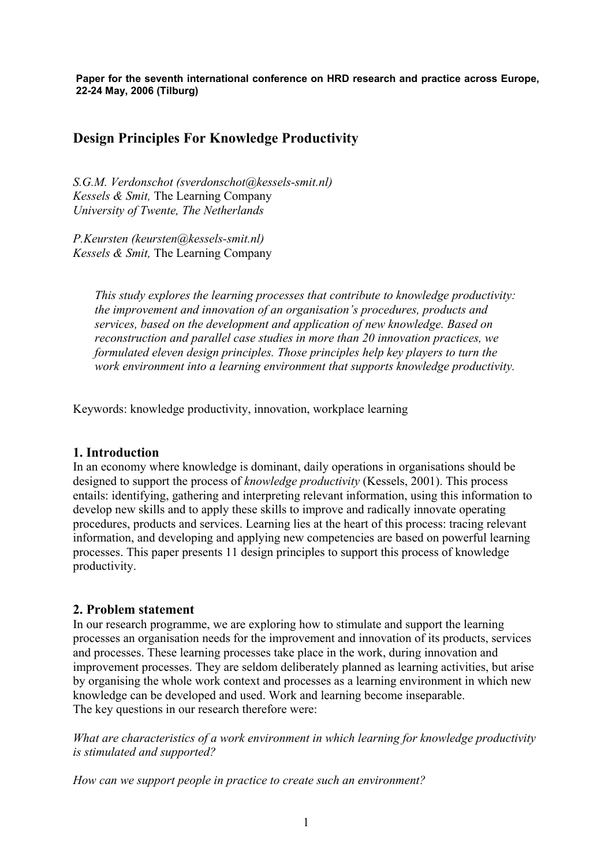**Paper for the seventh international conference on HRD research and practice across Europe, 22-24 May, 2006 (Tilburg)** 

## **Design Principles For Knowledge Productivity**

*S.G.M. Verdonschot (sverdonschot@kessels-smit.nl) Kessels & Smit,* The Learning Company *University of Twente, The Netherlands* 

*P.Keursten (keursten@kessels-smit.nl) Kessels & Smit,* The Learning Company

> *This study explores the learning processes that contribute to knowledge productivity: the improvement and innovation of an organisation's procedures, products and services, based on the development and application of new knowledge. Based on reconstruction and parallel case studies in more than 20 innovation practices, we formulated eleven design principles. Those principles help key players to turn the work environment into a learning environment that supports knowledge productivity.*

Keywords: knowledge productivity, innovation, workplace learning

## **1. Introduction**

In an economy where knowledge is dominant, daily operations in organisations should be designed to support the process of *knowledge productivity* (Kessels, 2001). This process entails: identifying, gathering and interpreting relevant information, using this information to develop new skills and to apply these skills to improve and radically innovate operating procedures, products and services. Learning lies at the heart of this process: tracing relevant information, and developing and applying new competencies are based on powerful learning processes. This paper presents 11 design principles to support this process of knowledge productivity.

## **2. Problem statement**

In our research programme, we are exploring how to stimulate and support the learning processes an organisation needs for the improvement and innovation of its products, services and processes. These learning processes take place in the work, during innovation and improvement processes. They are seldom deliberately planned as learning activities, but arise by organising the whole work context and processes as a learning environment in which new knowledge can be developed and used. Work and learning become inseparable. The key questions in our research therefore were:

*What are characteristics of a work environment in which learning for knowledge productivity is stimulated and supported?* 

*How can we support people in practice to create such an environment?*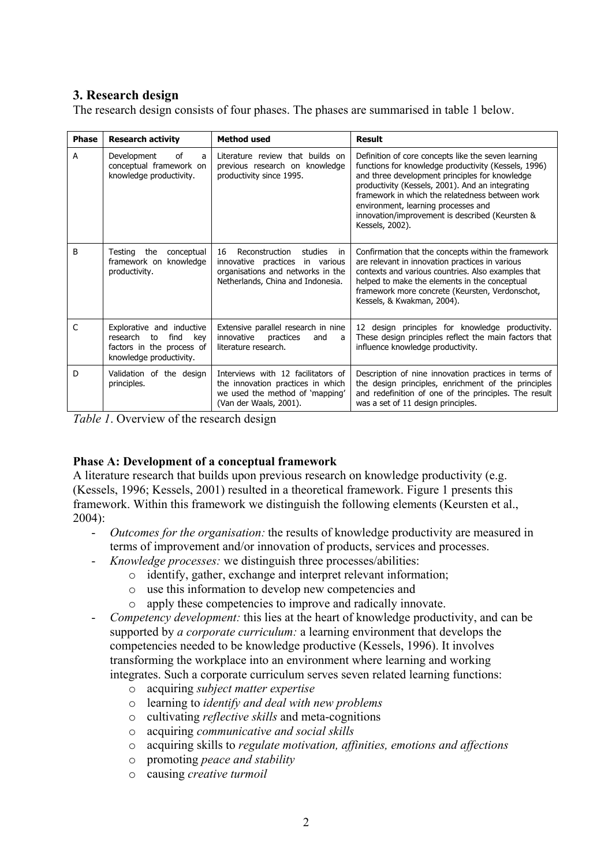## **3. Research design**

The research design consists of four phases. The phases are summarised in table 1 below.

| <b>Phase</b> | <b>Research activity</b>                                                                                           | <b>Method used</b>                                                                                                                                    | <b>Result</b>                                                                                                                                                                                                                                                                                                                                                                     |
|--------------|--------------------------------------------------------------------------------------------------------------------|-------------------------------------------------------------------------------------------------------------------------------------------------------|-----------------------------------------------------------------------------------------------------------------------------------------------------------------------------------------------------------------------------------------------------------------------------------------------------------------------------------------------------------------------------------|
| A            | Development<br>Ωf<br>a<br>conceptual framework on<br>knowledge productivity.                                       | Literature review that builds on<br>previous research on knowledge<br>productivity since 1995.                                                        | Definition of core concepts like the seven learning<br>functions for knowledge productivity (Kessels, 1996)<br>and three development principles for knowledge<br>productivity (Kessels, 2001). And an integrating<br>framework in which the relatedness between work<br>environment, learning processes and<br>innovation/improvement is described (Keursten &<br>Kessels, 2002). |
| B            | Testina<br>the<br>conceptual<br>framework on knowledge<br>productivity.                                            | 16<br>Reconstruction<br>studies<br>in<br>innovative practices<br>in various<br>organisations and networks in the<br>Netherlands, China and Indonesia. | Confirmation that the concepts within the framework<br>are relevant in innovation practices in various<br>contexts and various countries. Also examples that<br>helped to make the elements in the conceptual<br>framework more concrete (Keursten, Verdonschot,<br>Kessels, & Kwakman, 2004).                                                                                    |
| C            | Explorative and inductive<br>research<br>find<br>kev<br>to<br>factors in the process of<br>knowledge productivity. | Extensive parallel research in nine<br>innovative<br>practices<br>and<br>a<br>literature research.                                                    | 12 design principles for knowledge productivity.<br>These design principles reflect the main factors that<br>influence knowledge productivity.                                                                                                                                                                                                                                    |
| D            | Validation of the design<br>principles.                                                                            | Interviews with 12 facilitators of<br>the innovation practices in which<br>we used the method of 'mapping'<br>(Van der Waals, 2001).                  | Description of nine innovation practices in terms of<br>the design principles, enrichment of the principles<br>and redefinition of one of the principles. The result<br>was a set of 11 design principles.                                                                                                                                                                        |

*Table 1*. Overview of the research design

## **Phase A: Development of a conceptual framework**

A literature research that builds upon previous research on knowledge productivity (e.g. (Kessels, 1996; Kessels, 2001) resulted in a theoretical framework. Figure 1 presents this framework. Within this framework we distinguish the following elements (Keursten et al., 2004):

- *Outcomes for the organisation:* the results of knowledge productivity are measured in terms of improvement and/or innovation of products, services and processes.
- *Knowledge processes:* we distinguish three processes/abilities:
	- o identify, gather, exchange and interpret relevant information;
	- o use this information to develop new competencies and
	- o apply these competencies to improve and radically innovate.
- *Competency development:* this lies at the heart of knowledge productivity, and can be supported by *a corporate curriculum:* a learning environment that develops the competencies needed to be knowledge productive (Kessels, 1996). It involves transforming the workplace into an environment where learning and working integrates. Such a corporate curriculum serves seven related learning functions:
	- o acquiring *subject matter expertise*
	- o learning to *identify and deal with new problems*
	- o cultivating *reflective skills* and meta-cognitions
	- o acquiring *communicative and social skills*
	- o acquiring skills to *regulate motivation, affinities, emotions and affections*
	- o promoting *peace and stability*
	- o causing *creative turmoil*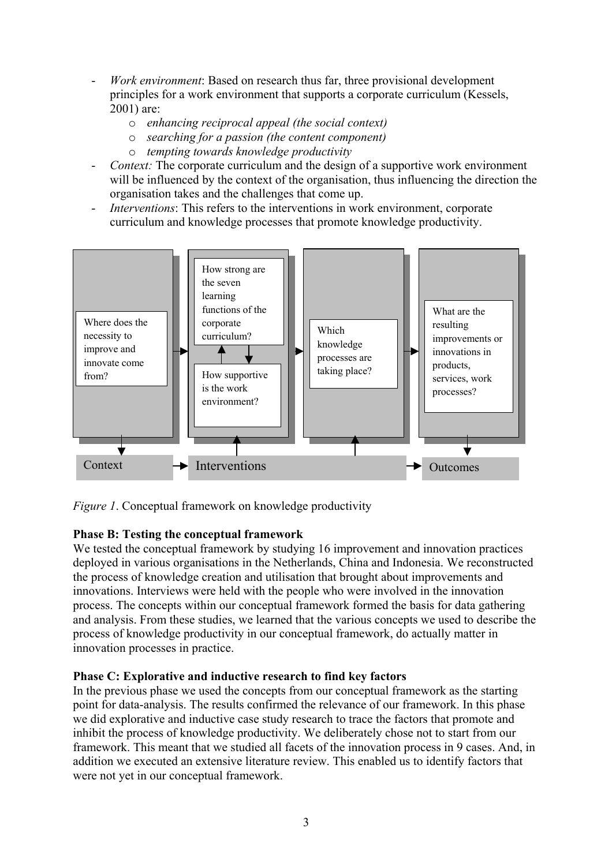- *Work environment*: Based on research thus far, three provisional development principles for a work environment that supports a corporate curriculum (Kessels, 2001) are:
	- o *enhancing reciprocal appeal (the social context)*
	- o *searching for a passion (the content component)*
	- o *tempting towards knowledge productivity*
- *Context:* The corporate curriculum and the design of a supportive work environment will be influenced by the context of the organisation, thus influencing the direction the organisation takes and the challenges that come up.
- *Interventions*: This refers to the interventions in work environment, corporate curriculum and knowledge processes that promote knowledge productivity.



*Figure 1*. Conceptual framework on knowledge productivity

## **Phase B: Testing the conceptual framework**

We tested the conceptual framework by studying 16 improvement and innovation practices deployed in various organisations in the Netherlands, China and Indonesia. We reconstructed the process of knowledge creation and utilisation that brought about improvements and innovations. Interviews were held with the people who were involved in the innovation process. The concepts within our conceptual framework formed the basis for data gathering and analysis. From these studies, we learned that the various concepts we used to describe the process of knowledge productivity in our conceptual framework, do actually matter in innovation processes in practice.

## **Phase C: Explorative and inductive research to find key factors**

In the previous phase we used the concepts from our conceptual framework as the starting point for data-analysis. The results confirmed the relevance of our framework. In this phase we did explorative and inductive case study research to trace the factors that promote and inhibit the process of knowledge productivity. We deliberately chose not to start from our framework. This meant that we studied all facets of the innovation process in 9 cases. And, in addition we executed an extensive literature review. This enabled us to identify factors that were not yet in our conceptual framework.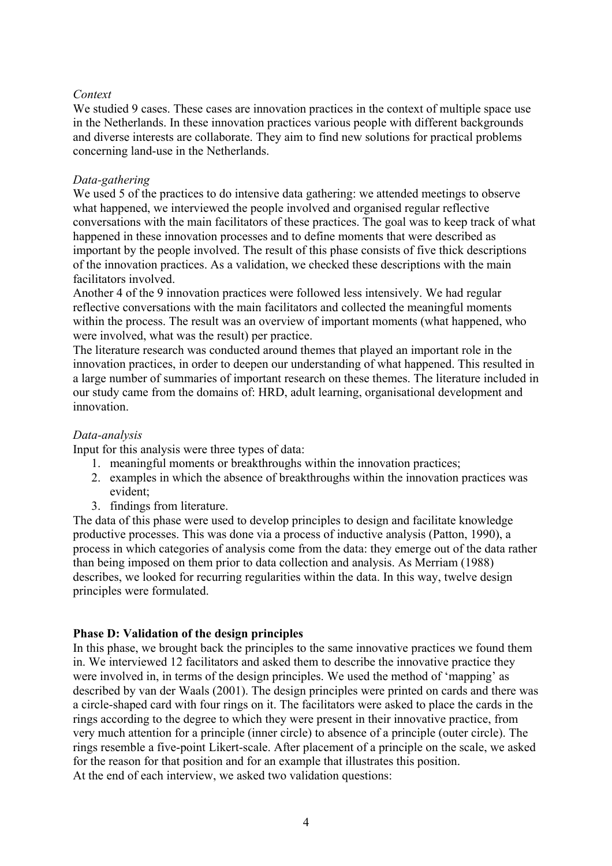## *Context*

We studied 9 cases. These cases are innovation practices in the context of multiple space use in the Netherlands. In these innovation practices various people with different backgrounds and diverse interests are collaborate. They aim to find new solutions for practical problems concerning land-use in the Netherlands.

### *Data-gathering*

We used 5 of the practices to do intensive data gathering: we attended meetings to observe what happened, we interviewed the people involved and organised regular reflective conversations with the main facilitators of these practices. The goal was to keep track of what happened in these innovation processes and to define moments that were described as important by the people involved. The result of this phase consists of five thick descriptions of the innovation practices. As a validation, we checked these descriptions with the main facilitators involved.

Another 4 of the 9 innovation practices were followed less intensively. We had regular reflective conversations with the main facilitators and collected the meaningful moments within the process. The result was an overview of important moments (what happened, who were involved, what was the result) per practice.

The literature research was conducted around themes that played an important role in the innovation practices, in order to deepen our understanding of what happened. This resulted in a large number of summaries of important research on these themes. The literature included in our study came from the domains of: HRD, adult learning, organisational development and innovation.

## *Data-analysis*

Input for this analysis were three types of data:

- 1. meaningful moments or breakthroughs within the innovation practices;
- 2. examples in which the absence of breakthroughs within the innovation practices was evident;
- 3. findings from literature.

The data of this phase were used to develop principles to design and facilitate knowledge productive processes. This was done via a process of inductive analysis (Patton, 1990), a process in which categories of analysis come from the data: they emerge out of the data rather than being imposed on them prior to data collection and analysis. As Merriam (1988) describes, we looked for recurring regularities within the data. In this way, twelve design principles were formulated.

## **Phase D: Validation of the design principles**

In this phase, we brought back the principles to the same innovative practices we found them in. We interviewed 12 facilitators and asked them to describe the innovative practice they were involved in, in terms of the design principles. We used the method of 'mapping' as described by van der Waals (2001). The design principles were printed on cards and there was a circle-shaped card with four rings on it. The facilitators were asked to place the cards in the rings according to the degree to which they were present in their innovative practice, from very much attention for a principle (inner circle) to absence of a principle (outer circle). The rings resemble a five-point Likert-scale. After placement of a principle on the scale, we asked for the reason for that position and for an example that illustrates this position. At the end of each interview, we asked two validation questions: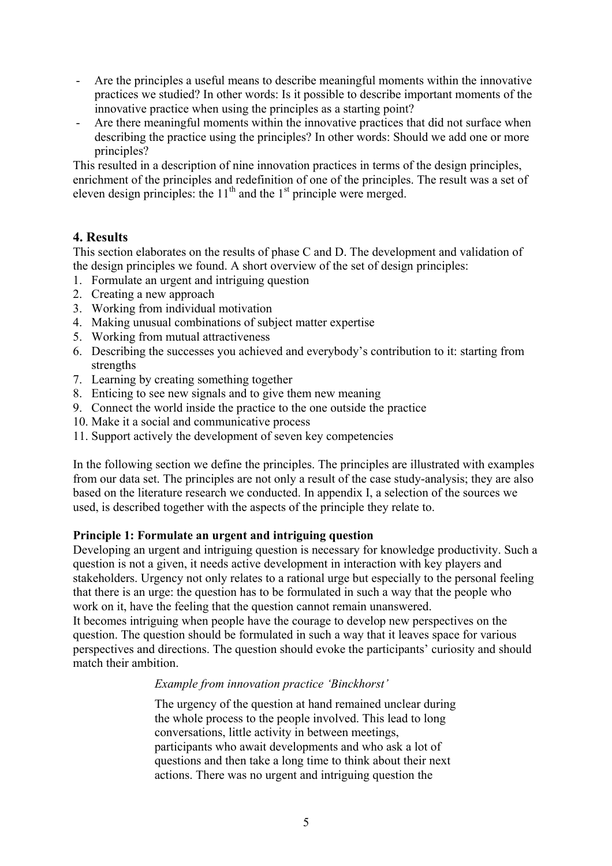- Are the principles a useful means to describe meaningful moments within the innovative practices we studied? In other words: Is it possible to describe important moments of the innovative practice when using the principles as a starting point?
- Are there meaningful moments within the innovative practices that did not surface when describing the practice using the principles? In other words: Should we add one or more principles?

This resulted in a description of nine innovation practices in terms of the design principles, enrichment of the principles and redefinition of one of the principles. The result was a set of eleven design principles: the  $11<sup>th</sup>$  and the  $1<sup>st</sup>$  principle were merged.

## **4. Results**

This section elaborates on the results of phase C and D. The development and validation of the design principles we found. A short overview of the set of design principles:

- 1. Formulate an urgent and intriguing question
- 2. Creating a new approach
- 3. Working from individual motivation
- 4. Making unusual combinations of subject matter expertise
- 5. Working from mutual attractiveness
- 6. Describing the successes you achieved and everybody's contribution to it: starting from strengths
- 7. Learning by creating something together
- 8. Enticing to see new signals and to give them new meaning
- 9. Connect the world inside the practice to the one outside the practice
- 10. Make it a social and communicative process
- 11. Support actively the development of seven key competencies

In the following section we define the principles. The principles are illustrated with examples from our data set. The principles are not only a result of the case study-analysis; they are also based on the literature research we conducted. In appendix I, a selection of the sources we used, is described together with the aspects of the principle they relate to.

#### **Principle 1: Formulate an urgent and intriguing question**

Developing an urgent and intriguing question is necessary for knowledge productivity. Such a question is not a given, it needs active development in interaction with key players and stakeholders. Urgency not only relates to a rational urge but especially to the personal feeling that there is an urge: the question has to be formulated in such a way that the people who work on it, have the feeling that the question cannot remain unanswered.

It becomes intriguing when people have the courage to develop new perspectives on the question. The question should be formulated in such a way that it leaves space for various perspectives and directions. The question should evoke the participants' curiosity and should match their ambition.

#### *Example from innovation practice 'Binckhorst'*

The urgency of the question at hand remained unclear during the whole process to the people involved. This lead to long conversations, little activity in between meetings, participants who await developments and who ask a lot of questions and then take a long time to think about their next actions. There was no urgent and intriguing question the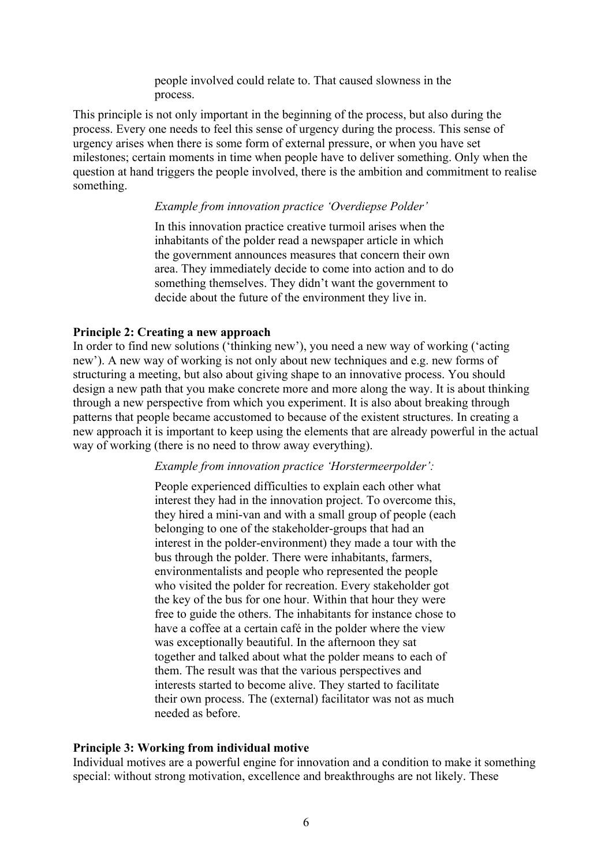people involved could relate to. That caused slowness in the process.

This principle is not only important in the beginning of the process, but also during the process. Every one needs to feel this sense of urgency during the process. This sense of urgency arises when there is some form of external pressure, or when you have set milestones; certain moments in time when people have to deliver something. Only when the question at hand triggers the people involved, there is the ambition and commitment to realise something.

#### *Example from innovation practice 'Overdiepse Polder'*

In this innovation practice creative turmoil arises when the inhabitants of the polder read a newspaper article in which the government announces measures that concern their own area. They immediately decide to come into action and to do something themselves. They didn't want the government to decide about the future of the environment they live in.

### **Principle 2: Creating a new approach**

In order to find new solutions ('thinking new'), you need a new way of working ('acting new'). A new way of working is not only about new techniques and e.g. new forms of structuring a meeting, but also about giving shape to an innovative process. You should design a new path that you make concrete more and more along the way. It is about thinking through a new perspective from which you experiment. It is also about breaking through patterns that people became accustomed to because of the existent structures. In creating a new approach it is important to keep using the elements that are already powerful in the actual way of working (there is no need to throw away everything).

#### *Example from innovation practice 'Horstermeerpolder':*

People experienced difficulties to explain each other what interest they had in the innovation project. To overcome this, they hired a mini-van and with a small group of people (each belonging to one of the stakeholder-groups that had an interest in the polder-environment) they made a tour with the bus through the polder. There were inhabitants, farmers, environmentalists and people who represented the people who visited the polder for recreation. Every stakeholder got the key of the bus for one hour. Within that hour they were free to guide the others. The inhabitants for instance chose to have a coffee at a certain café in the polder where the view was exceptionally beautiful. In the afternoon they sat together and talked about what the polder means to each of them. The result was that the various perspectives and interests started to become alive. They started to facilitate their own process. The (external) facilitator was not as much needed as before.

## **Principle 3: Working from individual motive**

Individual motives are a powerful engine for innovation and a condition to make it something special: without strong motivation, excellence and breakthroughs are not likely. These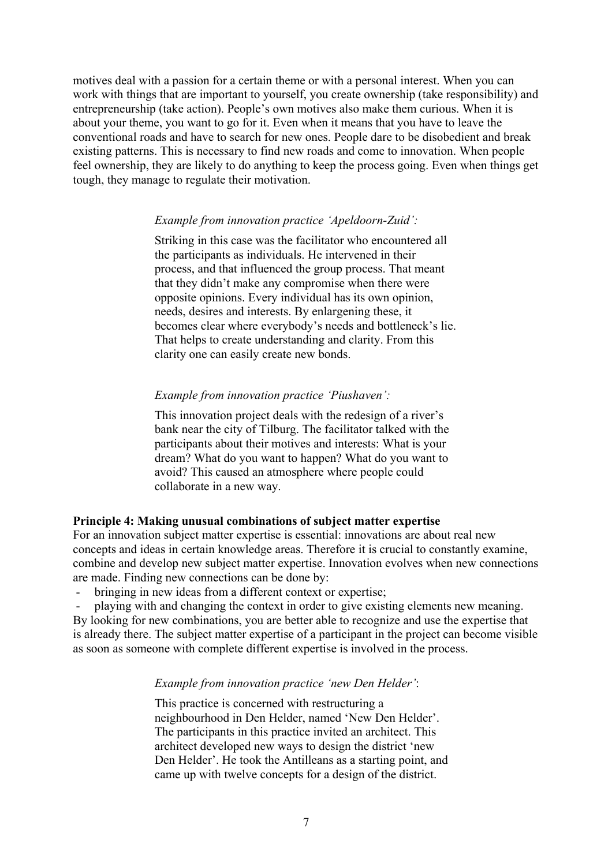motives deal with a passion for a certain theme or with a personal interest. When you can work with things that are important to yourself, you create ownership (take responsibility) and entrepreneurship (take action). People's own motives also make them curious. When it is about your theme, you want to go for it. Even when it means that you have to leave the conventional roads and have to search for new ones. People dare to be disobedient and break existing patterns. This is necessary to find new roads and come to innovation. When people feel ownership, they are likely to do anything to keep the process going. Even when things get tough, they manage to regulate their motivation.

#### *Example from innovation practice 'Apeldoorn-Zuid':*

Striking in this case was the facilitator who encountered all the participants as individuals. He intervened in their process, and that influenced the group process. That meant that they didn't make any compromise when there were opposite opinions. Every individual has its own opinion, needs, desires and interests. By enlargening these, it becomes clear where everybody's needs and bottleneck's lie. That helps to create understanding and clarity. From this clarity one can easily create new bonds.

### *Example from innovation practice 'Piushaven':*

This innovation project deals with the redesign of a river's bank near the city of Tilburg. The facilitator talked with the participants about their motives and interests: What is your dream? What do you want to happen? What do you want to avoid? This caused an atmosphere where people could collaborate in a new way.

#### **Principle 4: Making unusual combinations of subject matter expertise**

For an innovation subject matter expertise is essential: innovations are about real new concepts and ideas in certain knowledge areas. Therefore it is crucial to constantly examine, combine and develop new subject matter expertise. Innovation evolves when new connections are made. Finding new connections can be done by:

- bringing in new ideas from a different context or expertise;

- playing with and changing the context in order to give existing elements new meaning. By looking for new combinations, you are better able to recognize and use the expertise that is already there. The subject matter expertise of a participant in the project can become visible as soon as someone with complete different expertise is involved in the process.

#### *Example from innovation practice 'new Den Helder'*:

This practice is concerned with restructuring a neighbourhood in Den Helder, named 'New Den Helder'. The participants in this practice invited an architect. This architect developed new ways to design the district 'new Den Helder'. He took the Antilleans as a starting point, and came up with twelve concepts for a design of the district.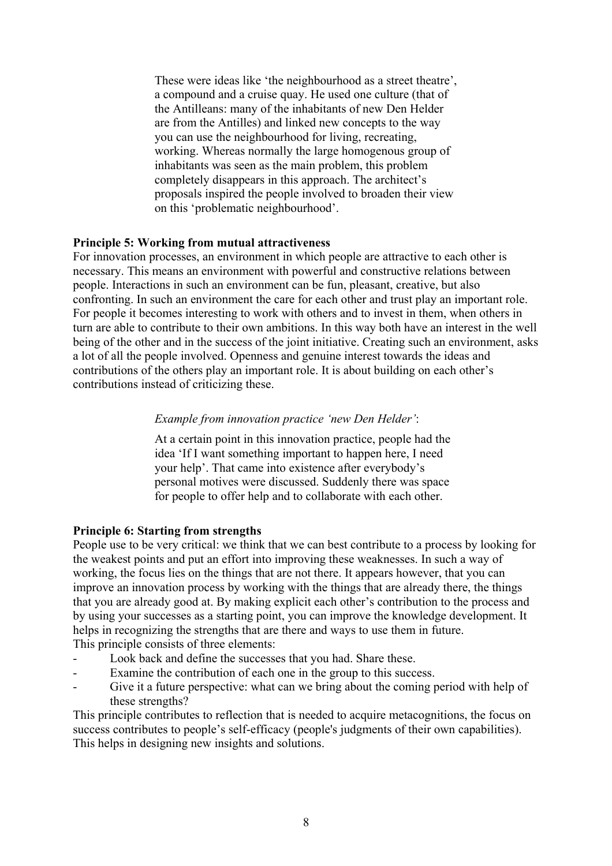These were ideas like 'the neighbourhood as a street theatre', a compound and a cruise quay. He used one culture (that of the Antilleans: many of the inhabitants of new Den Helder are from the Antilles) and linked new concepts to the way you can use the neighbourhood for living, recreating, working. Whereas normally the large homogenous group of inhabitants was seen as the main problem, this problem completely disappears in this approach. The architect's proposals inspired the people involved to broaden their view on this 'problematic neighbourhood'.

#### **Principle 5: Working from mutual attractiveness**

For innovation processes, an environment in which people are attractive to each other is necessary. This means an environment with powerful and constructive relations between people. Interactions in such an environment can be fun, pleasant, creative, but also confronting. In such an environment the care for each other and trust play an important role. For people it becomes interesting to work with others and to invest in them, when others in turn are able to contribute to their own ambitions. In this way both have an interest in the well being of the other and in the success of the joint initiative. Creating such an environment, asks a lot of all the people involved. Openness and genuine interest towards the ideas and contributions of the others play an important role. It is about building on each other's contributions instead of criticizing these.

### *Example from innovation practice 'new Den Helder'*:

At a certain point in this innovation practice, people had the idea 'If I want something important to happen here, I need your help'. That came into existence after everybody's personal motives were discussed. Suddenly there was space for people to offer help and to collaborate with each other.

## **Principle 6: Starting from strengths**

People use to be very critical: we think that we can best contribute to a process by looking for the weakest points and put an effort into improving these weaknesses. In such a way of working, the focus lies on the things that are not there. It appears however, that you can improve an innovation process by working with the things that are already there, the things that you are already good at. By making explicit each other's contribution to the process and by using your successes as a starting point, you can improve the knowledge development. It helps in recognizing the strengths that are there and ways to use them in future. This principle consists of three elements:

- Look back and define the successes that you had. Share these.
- Examine the contribution of each one in the group to this success.
- Give it a future perspective: what can we bring about the coming period with help of these strengths?

This principle contributes to reflection that is needed to acquire metacognitions, the focus on success contributes to people's self-efficacy (people's judgments of their own capabilities). This helps in designing new insights and solutions.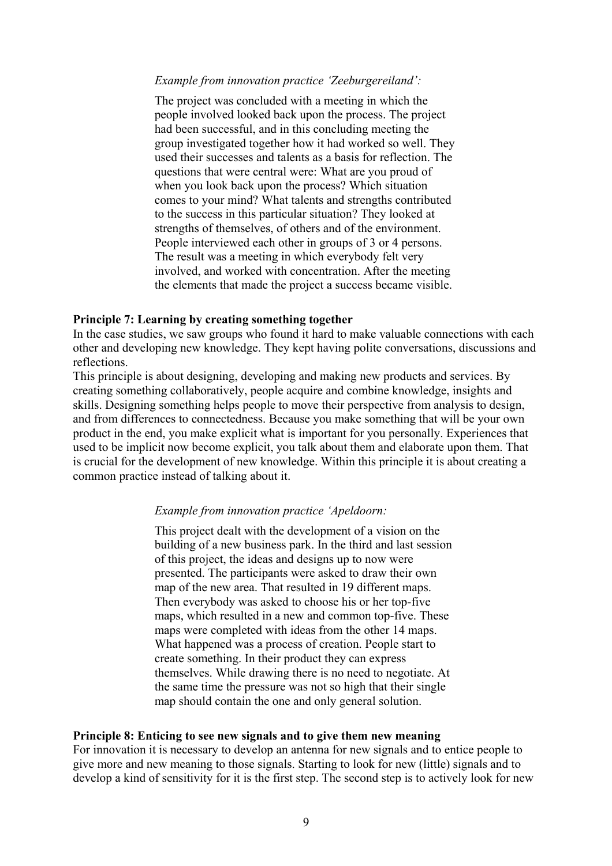#### *Example from innovation practice 'Zeeburgereiland':*

The project was concluded with a meeting in which the people involved looked back upon the process. The project had been successful, and in this concluding meeting the group investigated together how it had worked so well. They used their successes and talents as a basis for reflection. The questions that were central were: What are you proud of when you look back upon the process? Which situation comes to your mind? What talents and strengths contributed to the success in this particular situation? They looked at strengths of themselves, of others and of the environment. People interviewed each other in groups of 3 or 4 persons. The result was a meeting in which everybody felt very involved, and worked with concentration. After the meeting the elements that made the project a success became visible.

#### **Principle 7: Learning by creating something together**

In the case studies, we saw groups who found it hard to make valuable connections with each other and developing new knowledge. They kept having polite conversations, discussions and reflections.

This principle is about designing, developing and making new products and services. By creating something collaboratively, people acquire and combine knowledge, insights and skills. Designing something helps people to move their perspective from analysis to design, and from differences to connectedness. Because you make something that will be your own product in the end, you make explicit what is important for you personally. Experiences that used to be implicit now become explicit, you talk about them and elaborate upon them. That is crucial for the development of new knowledge. Within this principle it is about creating a common practice instead of talking about it.

#### *Example from innovation practice 'Apeldoorn:*

This project dealt with the development of a vision on the building of a new business park. In the third and last session of this project, the ideas and designs up to now were presented. The participants were asked to draw their own map of the new area. That resulted in 19 different maps. Then everybody was asked to choose his or her top-five maps, which resulted in a new and common top-five. These maps were completed with ideas from the other 14 maps. What happened was a process of creation. People start to create something. In their product they can express themselves. While drawing there is no need to negotiate. At the same time the pressure was not so high that their single map should contain the one and only general solution.

#### **Principle 8: Enticing to see new signals and to give them new meaning**

For innovation it is necessary to develop an antenna for new signals and to entice people to give more and new meaning to those signals. Starting to look for new (little) signals and to develop a kind of sensitivity for it is the first step. The second step is to actively look for new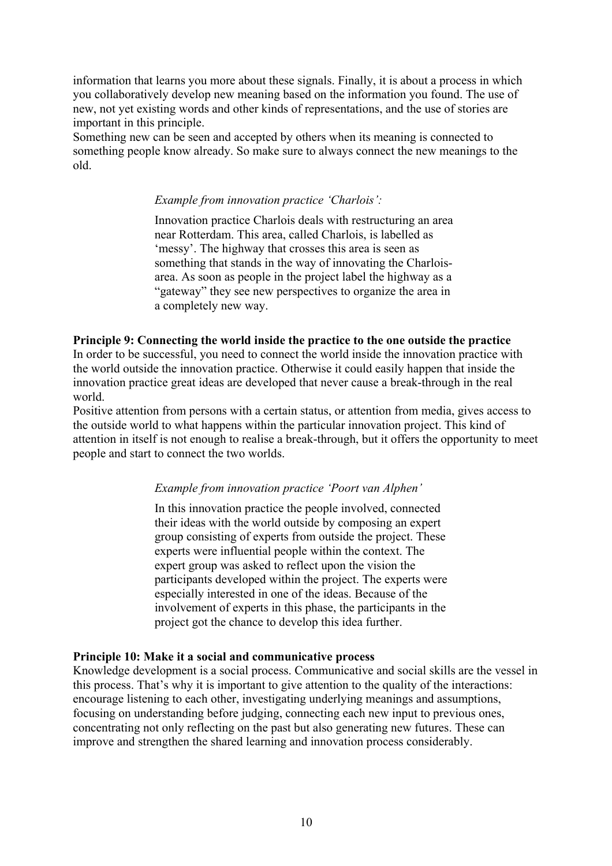information that learns you more about these signals. Finally, it is about a process in which you collaboratively develop new meaning based on the information you found. The use of new, not yet existing words and other kinds of representations, and the use of stories are important in this principle.

Something new can be seen and accepted by others when its meaning is connected to something people know already. So make sure to always connect the new meanings to the old.

## *Example from innovation practice 'Charlois':*

Innovation practice Charlois deals with restructuring an area near Rotterdam. This area, called Charlois, is labelled as 'messy'. The highway that crosses this area is seen as something that stands in the way of innovating the Charloisarea. As soon as people in the project label the highway as a "gateway" they see new perspectives to organize the area in a completely new way.

#### **Principle 9: Connecting the world inside the practice to the one outside the practice**

In order to be successful, you need to connect the world inside the innovation practice with the world outside the innovation practice. Otherwise it could easily happen that inside the innovation practice great ideas are developed that never cause a break-through in the real world.

Positive attention from persons with a certain status, or attention from media, gives access to the outside world to what happens within the particular innovation project. This kind of attention in itself is not enough to realise a break-through, but it offers the opportunity to meet people and start to connect the two worlds.

## *Example from innovation practice 'Poort van Alphen'*

In this innovation practice the people involved, connected their ideas with the world outside by composing an expert group consisting of experts from outside the project. These experts were influential people within the context. The expert group was asked to reflect upon the vision the participants developed within the project. The experts were especially interested in one of the ideas. Because of the involvement of experts in this phase, the participants in the project got the chance to develop this idea further.

## **Principle 10: Make it a social and communicative process**

Knowledge development is a social process. Communicative and social skills are the vessel in this process. That's why it is important to give attention to the quality of the interactions: encourage listening to each other, investigating underlying meanings and assumptions, focusing on understanding before judging, connecting each new input to previous ones, concentrating not only reflecting on the past but also generating new futures. These can improve and strengthen the shared learning and innovation process considerably.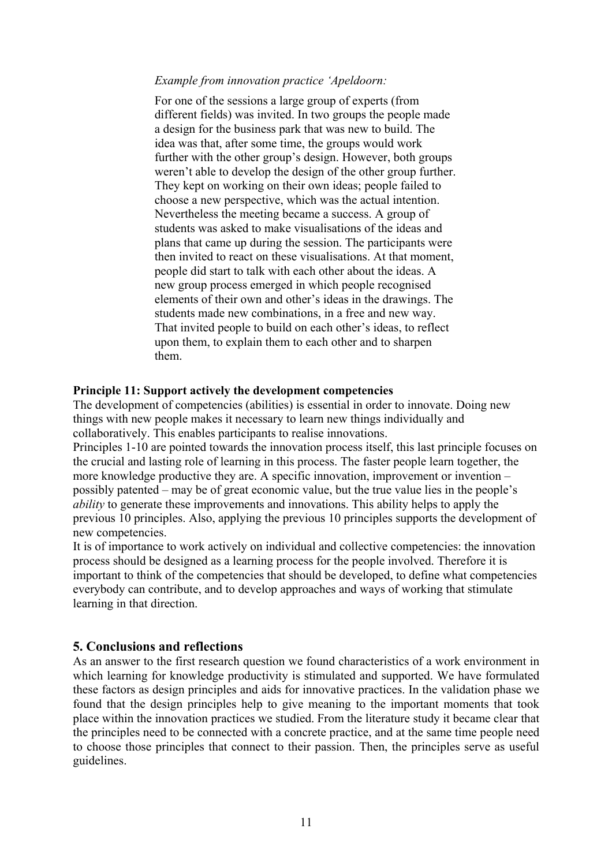#### *Example from innovation practice 'Apeldoorn:*

For one of the sessions a large group of experts (from different fields) was invited. In two groups the people made a design for the business park that was new to build. The idea was that, after some time, the groups would work further with the other group's design. However, both groups weren't able to develop the design of the other group further. They kept on working on their own ideas; people failed to choose a new perspective, which was the actual intention. Nevertheless the meeting became a success. A group of students was asked to make visualisations of the ideas and plans that came up during the session. The participants were then invited to react on these visualisations. At that moment, people did start to talk with each other about the ideas. A new group process emerged in which people recognised elements of their own and other's ideas in the drawings. The students made new combinations, in a free and new way. That invited people to build on each other's ideas, to reflect upon them, to explain them to each other and to sharpen them.

#### **Principle 11: Support actively the development competencies**

The development of competencies (abilities) is essential in order to innovate. Doing new things with new people makes it necessary to learn new things individually and collaboratively. This enables participants to realise innovations.

Principles 1-10 are pointed towards the innovation process itself, this last principle focuses on the crucial and lasting role of learning in this process. The faster people learn together, the more knowledge productive they are. A specific innovation, improvement or invention – possibly patented – may be of great economic value, but the true value lies in the people's *ability* to generate these improvements and innovations. This ability helps to apply the previous 10 principles. Also, applying the previous 10 principles supports the development of new competencies.

It is of importance to work actively on individual and collective competencies: the innovation process should be designed as a learning process for the people involved. Therefore it is important to think of the competencies that should be developed, to define what competencies everybody can contribute, and to develop approaches and ways of working that stimulate learning in that direction.

#### **5. Conclusions and reflections**

As an answer to the first research question we found characteristics of a work environment in which learning for knowledge productivity is stimulated and supported. We have formulated these factors as design principles and aids for innovative practices. In the validation phase we found that the design principles help to give meaning to the important moments that took place within the innovation practices we studied. From the literature study it became clear that the principles need to be connected with a concrete practice, and at the same time people need to choose those principles that connect to their passion. Then, the principles serve as useful guidelines.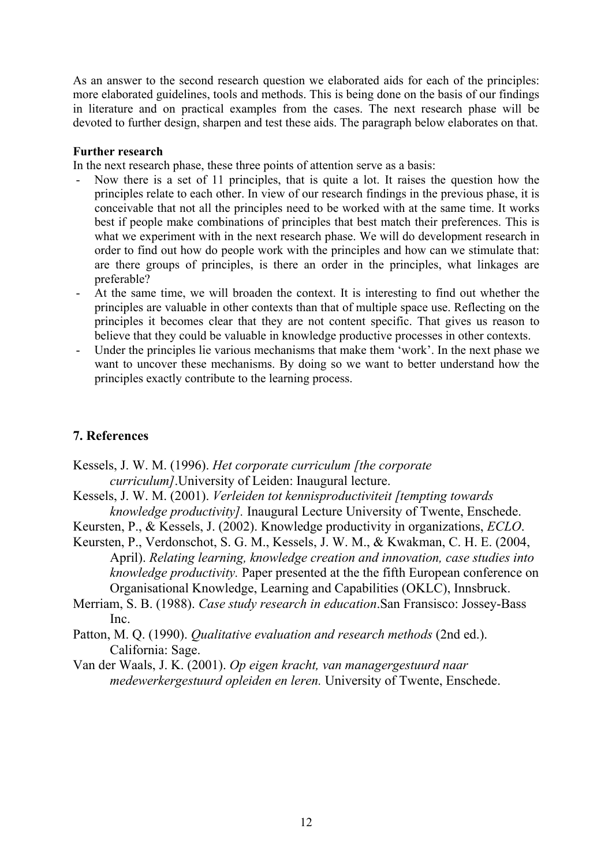As an answer to the second research question we elaborated aids for each of the principles: more elaborated guidelines, tools and methods. This is being done on the basis of our findings in literature and on practical examples from the cases. The next research phase will be devoted to further design, sharpen and test these aids. The paragraph below elaborates on that.

#### **Further research**

In the next research phase, these three points of attention serve as a basis:

- Now there is a set of 11 principles, that is quite a lot. It raises the question how the principles relate to each other. In view of our research findings in the previous phase, it is conceivable that not all the principles need to be worked with at the same time. It works best if people make combinations of principles that best match their preferences. This is what we experiment with in the next research phase. We will do development research in order to find out how do people work with the principles and how can we stimulate that: are there groups of principles, is there an order in the principles, what linkages are preferable?
- At the same time, we will broaden the context. It is interesting to find out whether the principles are valuable in other contexts than that of multiple space use. Reflecting on the principles it becomes clear that they are not content specific. That gives us reason to believe that they could be valuable in knowledge productive processes in other contexts.
- Under the principles lie various mechanisms that make them 'work'. In the next phase we want to uncover these mechanisms. By doing so we want to better understand how the principles exactly contribute to the learning process.

## **7. References**

Kessels, J. W. M. (1996). *Het corporate curriculum [the corporate curriculum]*.University of Leiden: Inaugural lecture.

Kessels, J. W. M. (2001). *Verleiden tot kennisproductiviteit [tempting towards knowledge productivity].* Inaugural Lecture University of Twente, Enschede.

Keursten, P., & Kessels, J. (2002). Knowledge productivity in organizations, *ECLO*.

- Keursten, P., Verdonschot, S. G. M., Kessels, J. W. M., & Kwakman, C. H. E. (2004, April). *Relating learning, knowledge creation and innovation, case studies into knowledge productivity.* Paper presented at the the fifth European conference on Organisational Knowledge, Learning and Capabilities (OKLC), Innsbruck.
- Merriam, S. B. (1988). *Case study research in education*.San Fransisco: Jossey-Bass Inc.
- Patton, M. Q. (1990). *Qualitative evaluation and research methods* (2nd ed.). California: Sage.
- Van der Waals, J. K. (2001). *Op eigen kracht, van managergestuurd naar medewerkergestuurd opleiden en leren.* University of Twente, Enschede.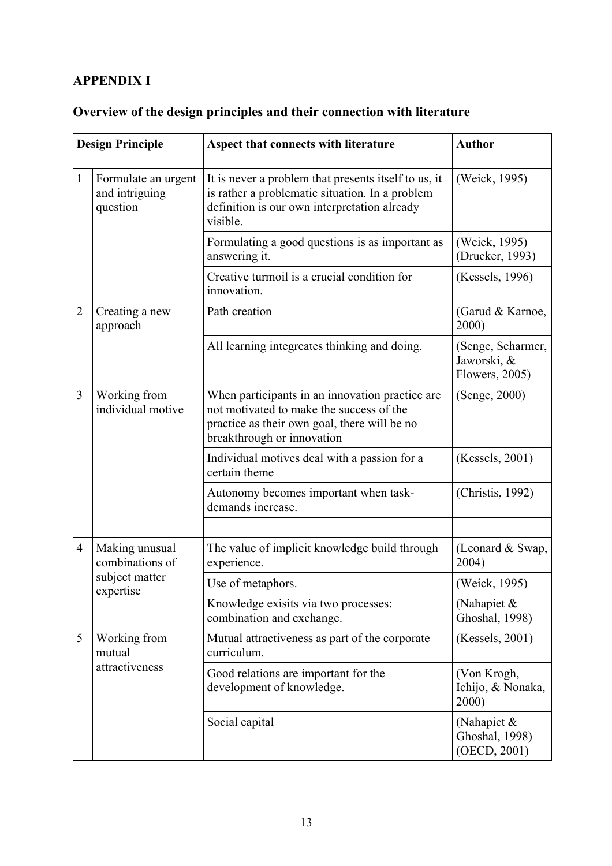# **APPENDIX I**

# **Overview of the design principles and their connection with literature**

| <b>Design Principle</b> |                                                                  | Aspect that connects with literature                                                                                                                                      | <b>Author</b>                                      |
|-------------------------|------------------------------------------------------------------|---------------------------------------------------------------------------------------------------------------------------------------------------------------------------|----------------------------------------------------|
| 1                       | Formulate an urgent<br>and intriguing<br>question                | It is never a problem that presents itself to us, it<br>is rather a problematic situation. In a problem<br>definition is our own interpretation already<br>visible.       | (Weick, 1995)                                      |
|                         |                                                                  | Formulating a good questions is as important as<br>answering it.                                                                                                          | (Weick, 1995)<br>(Drucker, 1993)                   |
|                         |                                                                  | Creative turmoil is a crucial condition for<br>innovation.                                                                                                                | (Kessels, 1996)                                    |
| $\overline{2}$          | Creating a new<br>approach                                       | Path creation                                                                                                                                                             | (Garud & Karnoe,<br>2000)                          |
|                         |                                                                  | All learning integreates thinking and doing.                                                                                                                              | (Senge, Scharmer,<br>Jaworski, &<br>Flowers, 2005) |
| 3                       | Working from<br>individual motive                                | When participants in an innovation practice are<br>not motivated to make the success of the<br>practice as their own goal, there will be no<br>breakthrough or innovation | (Senge, 2000)                                      |
|                         |                                                                  | Individual motives deal with a passion for a<br>certain theme                                                                                                             | (Kessels, 2001)                                    |
|                         |                                                                  | Autonomy becomes important when task-<br>demands increase.                                                                                                                | (Christis, 1992)                                   |
|                         |                                                                  |                                                                                                                                                                           |                                                    |
| $\overline{4}$          | Making unusual<br>combinations of<br>subject matter<br>expertise | The value of implicit knowledge build through<br>experience.                                                                                                              | (Leonard & Swap,<br>2004)                          |
|                         |                                                                  | Use of metaphors.                                                                                                                                                         | (Weick, 1995)                                      |
|                         |                                                                  | Knowledge exisits via two processes:<br>combination and exchange.                                                                                                         | (Nahapiet $\&$<br>Ghoshal, 1998)                   |
| 5                       | Working from<br>mutual<br>attractiveness                         | Mutual attractiveness as part of the corporate<br>curriculum.                                                                                                             | (Kessels, 2001)                                    |
|                         |                                                                  | Good relations are important for the<br>development of knowledge.                                                                                                         | (Von Krogh,<br>Ichijo, & Nonaka,<br>2000)          |
|                         |                                                                  | Social capital                                                                                                                                                            | (Nahapiet $\&$<br>Ghoshal, 1998)<br>(OECD, 2001)   |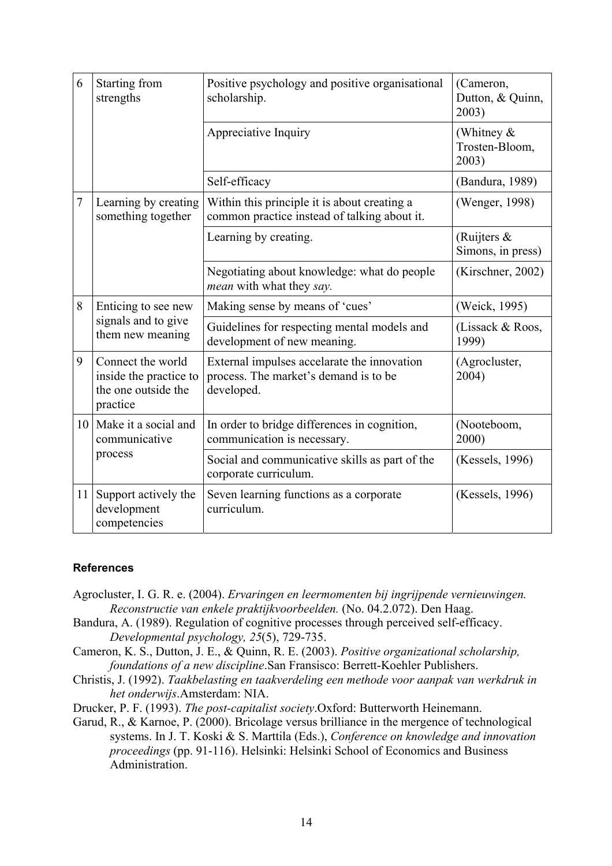| 6              | Starting from<br>strengths                                                     | Positive psychology and positive organisational<br>scholarship.                                    | (Cameron,<br>Dutton, & Quinn,<br>2003) |
|----------------|--------------------------------------------------------------------------------|----------------------------------------------------------------------------------------------------|----------------------------------------|
|                |                                                                                | Appreciative Inquiry                                                                               | (Whitney &<br>Trosten-Bloom,<br>2003)  |
|                |                                                                                | Self-efficacy                                                                                      | (Bandura, 1989)                        |
| $\overline{7}$ | Learning by creating<br>something together                                     | Within this principle it is about creating a<br>common practice instead of talking about it.       | (Wenger, 1998)                         |
|                |                                                                                | Learning by creating.                                                                              | (Ruijters $\&$<br>Simons, in press)    |
|                |                                                                                | Negotiating about knowledge: what do people<br>mean with what they say.                            | (Kirschner, 2002)                      |
| 8              | Enticing to see new                                                            | Making sense by means of 'cues'                                                                    | (Weick, 1995)                          |
|                | signals and to give<br>them new meaning                                        | Guidelines for respecting mental models and<br>development of new meaning.                         | (Lissack & Roos,<br>1999)              |
| 9              | Connect the world<br>inside the practice to<br>the one outside the<br>practice | External impulses accelarate the innovation<br>process. The market's demand is to be<br>developed. | (Agrocluster,<br>2004)                 |
| 10             | Make it a social and<br>communicative<br>process                               | In order to bridge differences in cognition,<br>communication is necessary.                        | (Nooteboom,<br>2000)                   |
|                |                                                                                | Social and communicative skills as part of the<br>corporate curriculum.                            | (Kessels, 1996)                        |
| 11             | Support actively the<br>development<br>competencies                            | Seven learning functions as a corporate<br>curriculum.                                             | (Kessels, 1996)                        |

## **References**

- Agrocluster, I. G. R. e. (2004). *Ervaringen en leermomenten bij ingrijpende vernieuwingen. Reconstructie van enkele praktijkvoorbeelden.* (No. 04.2.072). Den Haag.
- Bandura, A. (1989). Regulation of cognitive processes through perceived self-efficacy. *Developmental psychology, 25*(5), 729-735.
- Cameron, K. S., Dutton, J. E., & Quinn, R. E. (2003). *Positive organizational scholarship, foundations of a new discipline*.San Fransisco: Berrett-Koehler Publishers.
- Christis, J. (1992). *Taakbelasting en taakverdeling een methode voor aanpak van werkdruk in het onderwijs*.Amsterdam: NIA.
- Drucker, P. F. (1993). *The post-capitalist society*.Oxford: Butterworth Heinemann.
- Garud, R., & Karnoe, P. (2000). Bricolage versus brilliance in the mergence of technological systems. In J. T. Koski & S. Marttila (Eds.), *Conference on knowledge and innovation proceedings* (pp. 91-116). Helsinki: Helsinki School of Economics and Business Administration.